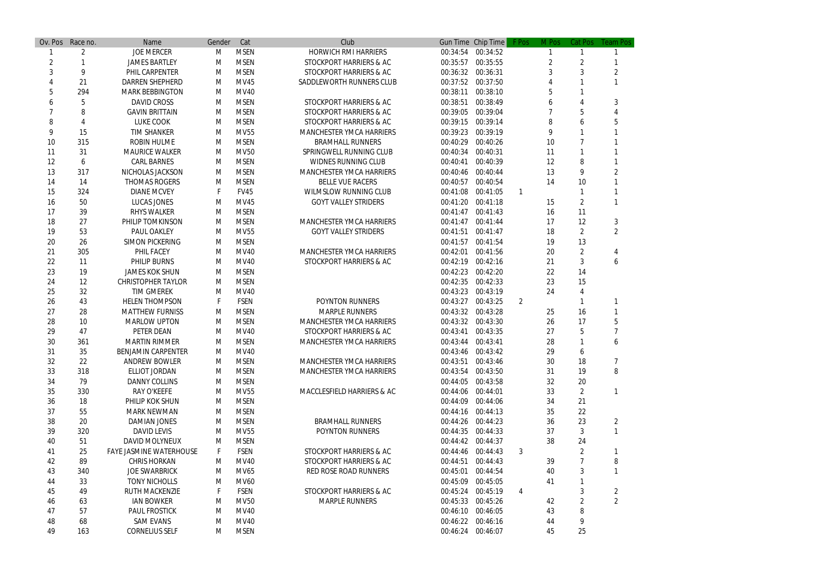| Ov. Pos        | Race no. | Name                           | Gender | Cat         | Club                               |          | Gun Time Chip Time | F Pos                 | M Pos | Cat Pos        | <b>Team Pos</b> |
|----------------|----------|--------------------------------|--------|-------------|------------------------------------|----------|--------------------|-----------------------|-------|----------------|-----------------|
|                | 2        | <b>JOE MERCER</b>              | M      | <b>MSEN</b> | <b>HORWICH RMI HARRIERS</b>        |          | 00:34:54 00:34:52  |                       |       |                |                 |
| $\overline{2}$ |          | <b>JAMES BARTLEY</b>           | M      | <b>MSEN</b> | STOCKPORT HARRIERS & AC            | 00:35:57 | 00:35:55           |                       | 2     | $\overline{2}$ |                 |
| 3              | 9        | PHIL CARPENTER                 | м      | <b>MSEN</b> | STOCKPORT HARRIERS & AC            | 00:36:32 | 00:36:31           |                       |       |                |                 |
|                | 21       | <b>DARREN SHEPHERD</b>         | м      | <b>MV45</b> | SADDLEWORTH RUNNERS CLUB           | 00:37:52 | 00:37:50           |                       |       |                |                 |
| 5              | 294      | <b>MARK BEBBINGTON</b>         | м      | <b>MV40</b> |                                    | 00:38:11 | 00:38:10           |                       |       |                |                 |
|                |          | <b>DAVID CROSS</b>             | м      | <b>MSEN</b> | <b>STOCKPORT HARRIERS &amp; AC</b> | 00:38:51 | 00:38:49           |                       |       |                | 3               |
|                | 8        | <b>GAVIN BRITTAIN</b>          | м      | <b>MSEN</b> | STOCKPORT HARRIERS & AC            | 00:39:05 | 00:39:04           |                       |       | 5              |                 |
| 8              |          | <b>LUKE COOK</b>               | M      | <b>MSEN</b> | STOCKPORT HARRIERS & AC            | 00:39:15 | 00:39:14           |                       |       |                |                 |
| 9              | 15       | <b>TIM SHANKER</b>             | M      | <b>MV55</b> | <b>MANCHESTER YMCA HARRIERS</b>    | 00:39:23 | 00:39:19           |                       |       |                |                 |
| 10             | 315      | <b>ROBIN HULME</b>             | м      | <b>MSEN</b> | <b>BRAMHALL RUNNERS</b>            | 00:40:29 | 00:40:26           |                       | 10    |                |                 |
| 11             | 31       | <b>MAURICE WALKER</b>          | M      | <b>MV50</b> | SPRINGWELL RUNNING CLUB            | 00:40:34 | 00:40:31           |                       | 11    |                |                 |
| 12             | 6        | <b>CARL BARNES</b>             | м      | <b>MSEN</b> | <b>WIDNES RUNNING CLUB</b>         | 00:40:41 | 00:40:39           |                       | 12    | 8              |                 |
| 13             | 317      | NICHOLAS JACKSON               | M      | <b>MSEN</b> | <b>MANCHESTER YMCA HARRIERS</b>    | 00:40:46 | 00:40:44           |                       | 13    | 9              |                 |
| 14             | 14       | <b>THOMAS ROGERS</b>           | м      | <b>MSEN</b> | <b>BELLE VUE RACERS</b>            | 00:40:57 | 00:40:54           |                       | 14    | 10             |                 |
| 15             | 324      | <b>DIANE MCVEY</b>             |        | <b>FV45</b> | <b>WILMSLOW RUNNING CLUB</b>       | 00:41:08 | 00:41:05           |                       |       |                |                 |
| 16             | 50       | LUCAS JONES                    | M      | MV45        | <b>GOYT VALLEY STRIDERS</b>        | 00:41:20 | 00:41:18           |                       | 15    | 2              |                 |
| 17             | 39       | <b>RHYS WALKER</b>             | м      | <b>MSEN</b> |                                    | 00:41:47 | 00:41:43           |                       | 16    | 11             |                 |
| 18             | 27       | PHILIP TOMKINSON               | M      | <b>MSEN</b> | <b>MANCHESTER YMCA HARRIERS</b>    | 00:41:47 | 00:41:44           |                       | 17    | 12             | 3               |
| 19             | 53       | <b>PAUL OAKLEY</b>             | м      | <b>MV55</b> | <b>GOYT VALLEY STRIDERS</b>        | 00:41:51 | 00:41:47           |                       | 18    | $\overline{2}$ | 2               |
| 20             | 26       | <b>SIMON PICKERING</b>         | M      | <b>MSEN</b> |                                    | 00:41:57 | 00:41:54           |                       | 19    | 13             |                 |
| 21             | 305      | <b>PHIL FACEY</b>              | M      | <b>MV40</b> | <b>MANCHESTER YMCA HARRIERS</b>    | 00:42:01 | 00:41:56           |                       | 20    | $\overline{c}$ |                 |
| 22             | 11       | <b>PHILIP BURNS</b>            | M      | <b>MV40</b> | STOCKPORT HARRIERS & AC            | 00:42:19 | 00:42:16           |                       | 21    | 3              | 6               |
| 23             | 19       | <b>JAMES KOK SHUN</b>          | м      | <b>MSEN</b> |                                    | 00:42:23 | 00:42:20           |                       | 22    | 14             |                 |
| 24             | 12       | <b>CHRISTOPHER TAYLOR</b>      | м      | <b>MSEN</b> |                                    | 00:42:35 | 00:42:33           |                       | 23    | 15             |                 |
| 25             | 32       | <b>TIM GMEREK</b>              | м      | <b>MV40</b> |                                    | 00:43:23 | 00:43:19           |                       | 24    |                |                 |
| 26             | 43       | <b>HELEN THOMPSON</b>          |        | <b>FSEN</b> | <b>POYNTON RUNNERS</b>             | 00:43:27 | 00:43:25           |                       |       |                |                 |
| 27             |          |                                |        |             | <b>MARPLE RUNNERS</b>              |          | 00:43:28           | $\mathbf{2}^{\prime}$ |       | 16             |                 |
|                | 28       | <b>MATTHEW FURNISS</b>         | M      | <b>MSEN</b> |                                    | 00:43:32 | 00:43:30           |                       | 25    |                |                 |
| 28             | 10       | <b>MARLOW UPTON</b>            | M      | <b>MSEN</b> | <b>MANCHESTER YMCA HARRIERS</b>    | 00:43:32 |                    |                       | 26    | 17             |                 |
| 29             | 47       | <b>PETER DEAN</b>              | M      | <b>MV40</b> | <b>STOCKPORT HARRIERS &amp; AC</b> | 00:43:41 | 00:43:35           |                       | 27    | 5              |                 |
| 30             | 361      | <b>MARTIN RIMMER</b>           | M      | <b>MSEN</b> | <b>MANCHESTER YMCA HARRIERS</b>    | 00:43:44 | 00:43:41           |                       | 28    |                |                 |
| 31             | 35       | <b>BENJAMIN CARPENTER</b>      | м      | <b>MV40</b> |                                    |          | 00:43:46 00:43:42  |                       | 29    | 6              |                 |
| 32             | 22       | <b>ANDREW BOWLER</b>           | M      | <b>MSEN</b> | <b>MANCHESTER YMCA HARRIERS</b>    | 00:43:51 | 00:43:46           |                       | 30    | 18             |                 |
| 33             | 318      | <b>ELLIOT JORDAN</b>           | M      | <b>MSEN</b> | <b>MANCHESTER YMCA HARRIERS</b>    |          | 00:43:54 00:43:50  |                       | 31    | 19             | 8               |
| 34             | 79       | <b>DANNY COLLINS</b>           | M      | <b>MSEN</b> |                                    | 00:44:05 | 00:43:58           |                       | 32    | 20             |                 |
| 35             | 330      | <b>RAY O'KEEFE</b>             | M      | <b>MV55</b> | MACCLESFIELD HARRIERS & AC         | 00:44:06 | 00:44:01           |                       | 33    | $\overline{2}$ |                 |
| 36             | 18       | PHILIP KOK SHUN                | M      | <b>MSEN</b> |                                    |          | 00:44:09 00:44:06  |                       | 34    | 21             |                 |
| 37             | 55       | <b>MARK NEWMAN</b>             | M      | <b>MSEN</b> |                                    |          | 00:44:16 00:44:13  |                       | 35    | 22             |                 |
| 38             | 20       | <b>DAMIAN JONES</b>            | M      | <b>MSEN</b> | <b>BRAMHALL RUNNERS</b>            | 00:44:26 | 00:44:23           |                       | 36    | 23             | $\overline{2}$  |
| 39             | 320      | <b>DAVID LEVIS</b>             | M      | <b>MV55</b> | <b>POYNTON RUNNERS</b>             | 00:44:35 | 00:44:33           |                       | 37    | 3              |                 |
| 40             | 51       | <b>DAVID MOLYNEUX</b>          | M      | <b>MSEN</b> |                                    |          | 00:44:42 00:44:37  |                       | 38    | 24             |                 |
| 41             | 25       | <b>FAYE JASMINE WATERHOUSE</b> |        | <b>FSEN</b> | STOCKPORT HARRIERS & AC            | 00:44:46 | 00:44:43           | 3                     |       | 2              |                 |
| 42             | 89       | <b>CHRIS HORKAN</b>            | M      | <b>MV40</b> | STOCKPORT HARRIERS & AC            | 00:44:51 | 00:44:43           |                       | 39    |                | 8               |
| 43             | 340      | <b>JOE SWARBRICK</b>           | M      | MV65        | <b>RED ROSE ROAD RUNNERS</b>       | 00:45:01 | 00:44:54           |                       | 40    | 3              |                 |
| 44             | 33       | <b>TONY NICHOLLS</b>           | M      | <b>MV60</b> |                                    | 00:45:09 | 00:45:05           |                       | 41    |                |                 |
| 45             | 49       | <b>RUTH MACKENZIE</b>          |        | <b>FSEN</b> | STOCKPORT HARRIERS & AC            | 00:45:24 | 00:45:19           | 4                     |       | 3              | 2               |
| 46             | 63       | <b>IAN BOWKER</b>              | M      | <b>MV50</b> | <b>MARPLE RUNNERS</b>              | 00:45:33 | 00:45:26           |                       | 42    | $\overline{2}$ | $\overline{2}$  |
| 47             | 57       | <b>PAUL FROSTICK</b>           | M      | <b>MV40</b> |                                    | 00:46:10 | 00:46:05           |                       | 43    | 8              |                 |
| 48             | 68       | <b>SAM EVANS</b>               | M      | <b>MV40</b> |                                    | 00:46:22 | 00:46:16           |                       | 44    | 9              |                 |
| 49             | 163      | <b>CORNELIUS SELF</b>          | M      | <b>MSEN</b> |                                    |          | 00:46:24 00:46:07  |                       | 45    | 25             |                 |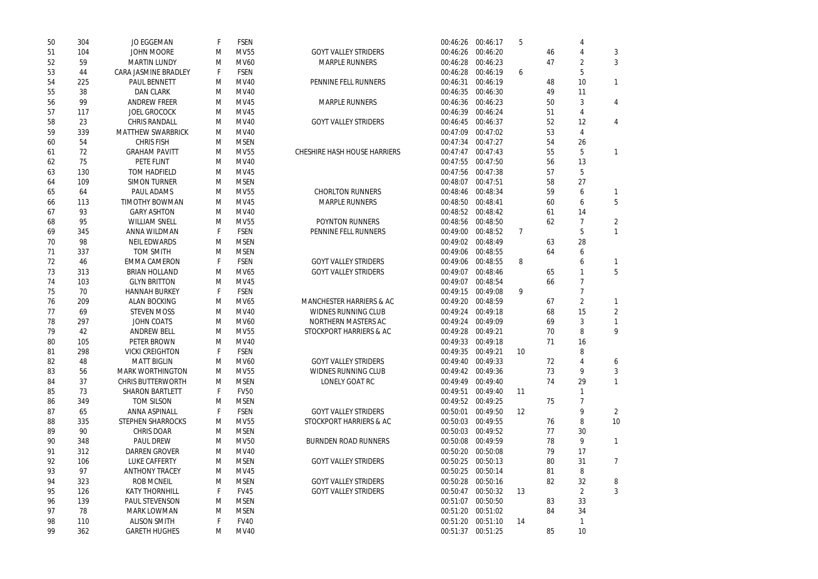| 50       | 304       | <b>JO EGGEMAN</b>           |   | <b>FSEN</b> |                                     | 00:46:26             | 00:46:17 | 5              |    |                 |                      |
|----------|-----------|-----------------------------|---|-------------|-------------------------------------|----------------------|----------|----------------|----|-----------------|----------------------|
| 51       | 104       | <b>JOHN MOORE</b>           | M | <b>MV55</b> | <b>GOYT VALLEY STRIDERS</b>         | 00:46:26             | 00:46:20 |                | 46 |                 | 3                    |
| 52       | 59        | <b>MARTIN LUNDY</b>         | M | <b>MV60</b> | <b>MARPLE RUNNERS</b>               | 00:46:28             | 00:46:23 |                | 47 | 2               | 3                    |
| 53       | 44        | <b>CARA JASMINE BRADLEY</b> |   | <b>FSEN</b> |                                     | 00:46:28             | 00:46:19 | 6              |    | 5               |                      |
| 54       | 225       | <b>PAUL BENNETT</b>         | M | <b>MV40</b> | PENNINE FELL RUNNERS                | 00:46:31             | 00:46:19 |                | 48 | 10              |                      |
| 55       | 38        | <b>DAN CLARK</b>            | M | <b>MV40</b> |                                     | 00:46:35             | 00:46:30 |                | 49 | 11              |                      |
| 56       | 99        | <b>ANDREW FREER</b>         | M | <b>MV45</b> | <b>MARPLE RUNNERS</b>               | 00:46:36             | 00:46:23 |                | 50 | 3               | 4                    |
| 57       | 117       | <b>JOEL GROCOCK</b>         | M | <b>MV45</b> |                                     | 00:46:39             | 00:46:24 |                | 51 | 4               |                      |
| 58       | 23        | <b>CHRIS RANDALL</b>        | M | <b>MV40</b> | <b>GOYT VALLEY STRIDERS</b>         | 00:46:45             | 00:46:37 |                | 52 | 12              | 4                    |
| 59       | 339       | <b>MATTHEW SWARBRICK</b>    | M | <b>MV40</b> |                                     | 00:47:09             | 00:47:02 |                | 53 | 4               |                      |
| 60       | 54        | <b>CHRIS FISH</b>           | M | <b>MSEN</b> |                                     | 00:47:34             | 00:47:27 |                | 54 | 26              |                      |
| 61       | 72        | <b>GRAHAM PAVITT</b>        | M | <b>MV55</b> | <b>CHESHIRE HASH HOUSE HARRIERS</b> | 00:47:47             | 00:47:43 |                | 55 | 5               |                      |
| 62       | 75        | <b>PETE FLINT</b>           | M | <b>MV40</b> |                                     | 00:47:55             | 00:47:50 |                | 56 | 13              |                      |
| 63       | 130       | <b>TOM HADFIELD</b>         | M | <b>MV45</b> |                                     | 00:47:56             | 00:47:38 |                | 57 | 5               |                      |
| 64       | 109       | <b>SIMON TURNER</b>         | M | <b>MSEN</b> |                                     | 00:48:07             | 00:47:51 |                | 58 | 27              |                      |
| 65       | 64        | <b>PAUL ADAMS</b>           | M | <b>MV55</b> | <b>CHORLTON RUNNERS</b>             | 00:48:46             | 00:48:34 |                | 59 | 6               |                      |
| 66       | 113       | <b>TIMOTHY BOWMAN</b>       | M | <b>MV45</b> | <b>MARPLE RUNNERS</b>               | 00:48:50             | 00:48:41 |                | 60 | 6               | 5                    |
| 67       | 93        | <b>GARY ASHTON</b>          | M | <b>MV40</b> |                                     | 00:48:52             | 00:48:42 |                | 61 | 14              |                      |
| 68       | 95        | <b>WILLIAM SNELL</b>        | M | <b>MV55</b> | <b>POYNTON RUNNERS</b>              | 00:48:56             | 00:48:50 |                | 62 |                 | $\overline{2}$       |
| 69       | 345       | <b>ANNA WILDMAN</b>         |   | <b>FSEN</b> | PENNINE FELL RUNNERS                | 00:49:00             | 00:48:52 | $\overline{7}$ |    | 5               |                      |
| 70       | 98        | <b>NEIL EDWARDS</b>         | M | <b>MSEN</b> |                                     | 00:49:02             | 00:48:49 |                | 63 | 28              |                      |
| 71       | 337       | <b>TOM SMITH</b>            | M | <b>MSEN</b> |                                     | 00:49:06             | 00:48:55 |                | 64 | 6               |                      |
| 72       | 46        | <b>EMMA CAMERON</b>         |   | <b>FSEN</b> | <b>GOYT VALLEY STRIDERS</b>         | 00:49:06             | 00:48:55 | 8              |    | h               |                      |
| 73       | 313       | <b>BRIAN HOLLAND</b>        | M | MV65        | <b>GOYT VALLEY STRIDERS</b>         | 00:49:07             | 00:48:46 |                | 65 |                 | 5                    |
| 74       | 103       | <b>GLYN BRITTON</b>         | M | <b>MV45</b> |                                     | 00:49:07             | 00:48:54 |                | 66 |                 |                      |
| 75       | 70        | <b>HANNAH BURKEY</b>        |   | <b>FSEN</b> |                                     | 00:49:15             | 00:49:08 | 9              |    |                 |                      |
| 76       | 209       | <b>ALAN BOCKING</b>         | M | MV65        | <b>MANCHESTER HARRIERS &amp; AC</b> | 00:49:20             | 00:48:59 |                | 67 | $\overline{2}$  |                      |
| 77       | 69        | <b>STEVEN MOSS</b>          | M | <b>MV40</b> | <b>WIDNES RUNNING CLUB</b>          | 00:49:24             | 00:49:18 |                | 68 | 15              | $\overline{2}$       |
| 78       | 297       | <b>JOHN COATS</b>           | M | <b>MV60</b> | <b>NORTHERN MASTERS AC</b>          | 00:49:24             | 00:49:09 |                | 69 | 3               |                      |
| 79       | 42        | <b>ANDREW BELL</b>          | м | <b>MV55</b> | <b>STOCKPORT HARRIERS &amp; AC</b>  | 00:49:28             | 00:49:21 |                | 70 | 8               | 9                    |
| 80       | 105       | <b>PETER BROWN</b>          | м | <b>MV40</b> |                                     | 00:49:33             | 00:49:18 |                | 71 | 16              |                      |
| 81       | 298       | <b>VICKI CREIGHTON</b>      |   | <b>FSEN</b> |                                     | 00:49:35             | 00:49:21 | 10             |    | 8               |                      |
| 82       | 48        | <b>MATT BIGLIN</b>          | M | <b>MV60</b> | <b>GOYT VALLEY STRIDERS</b>         | 00:49:40             | 00:49:33 |                | 72 |                 |                      |
| 83       | 56        | <b>MARK WORTHINGTON</b>     | M | <b>MV55</b> | <b>WIDNES RUNNING CLUB</b>          | 00:49:42             | 00:49:36 |                | 73 | 9               | 6<br>3               |
|          | 37        | <b>CHRIS BUTTERWORTH</b>    |   | <b>MSEN</b> | <b>LONELY GOAT RC</b>               | 00:49:49             | 00:49:40 |                | 74 | 29              |                      |
| 84<br>85 | 73        | <b>SHARON BARTLETT</b>      | M | <b>FV50</b> |                                     | 00:49:51             | 00:49:40 | 11             |    |                 |                      |
|          | 349       | <b>TOM SILSON</b>           |   | <b>MSEN</b> |                                     |                      | 00:49:25 |                | 75 |                 |                      |
| 86       |           | <b>ANNA ASPINALL</b>        | M | <b>FSEN</b> | <b>GOYT VALLEY STRIDERS</b>         | 00:49:52             | 00:49:50 | 12             |    | 9               |                      |
| 87       | 65<br>335 | <b>STEPHEN SHARROCKS</b>    |   | <b>MV55</b> | <b>STOCKPORT HARRIERS &amp; AC</b>  | 00:50:01<br>00:50:03 | 00:49:55 |                | 76 |                 | $\overline{2}$<br>10 |
| 88       |           |                             | M |             |                                     |                      |          |                |    | 8<br>30         |                      |
| 89       | 90        | <b>CHRIS DOAR</b>           | M | <b>MSEN</b> |                                     | 00:50:03             | 00:49:52 |                | 77 |                 | 1                    |
| 90       | 348       | <b>PAUL DREW</b>            | M | <b>MV50</b> | <b>BURNDEN ROAD RUNNERS</b>         | 00:50:08             | 00:49:59 |                | 78 | 9               |                      |
| 91       | 312       | <b>DARREN GROVER</b>        | M | <b>MV40</b> |                                     | 00:50:20             | 00:50:08 |                | 79 | 17              |                      |
| 92       | 106       | <b>LUKE CAFFERTY</b>        | M | <b>MSEN</b> | <b>GOYT VALLEY STRIDERS</b>         | 00:50:25             | 00:50:13 |                | 80 | 31              | 7                    |
| 93       | 97        | <b>ANTHONY TRACEY</b>       | M | <b>MV45</b> |                                     | 00:50:25             | 00:50:14 |                | 81 | 8               |                      |
| 94       | 323       | <b>ROB MCNEIL</b>           | M | <b>MSEN</b> | <b>GOYT VALLEY STRIDERS</b>         | 00:50:28             | 00:50:16 |                | 82 | 32              | 8                    |
| 95       | 126       | <b>KATY THORNHILL</b>       |   | <b>FV45</b> | <b>GOYT VALLEY STRIDERS</b>         | 00:50:47             | 00:50:32 | 13             |    | $\overline{2}$  | 3                    |
| 96       | 139       | <b>PAUL STEVENSON</b>       | M | <b>MSEN</b> |                                     | 00:51:07             | 00:50:50 |                | 83 | 33              |                      |
| 97       | 78        | <b>MARK LOWMAN</b>          | M | <b>MSEN</b> |                                     | 00:51:20             | 00:51:02 |                | 84 | 34              |                      |
| 98       | 110       | <b>ALISON SMITH</b>         |   | <b>FV40</b> |                                     | 00:51:20             | 00:51:10 | 14             |    |                 |                      |
| 99       | 362       | <b>GARETH HUGHES</b>        | M | <b>MV40</b> |                                     | 00:51:37             | 00:51:25 |                | 85 | 10 <sup>°</sup> |                      |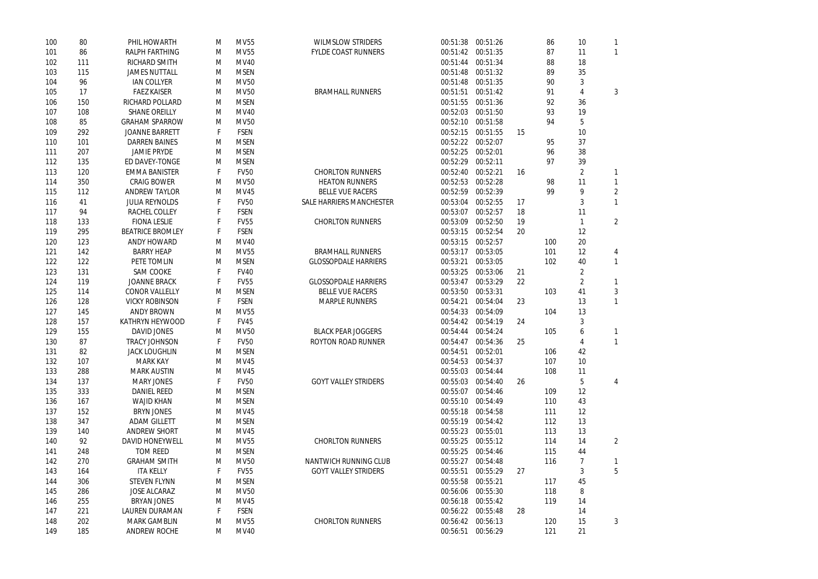2

| 100 | 80  | PHIL HOWARTH            | м | <b>MV55</b> | <b>WILMSLOW STRIDERS</b>        | 00:51:38 | 00:51:26 |    | 86  | 10 |                |
|-----|-----|-------------------------|---|-------------|---------------------------------|----------|----------|----|-----|----|----------------|
| 101 | 86  | <b>RALPH FARTHING</b>   | M | <b>MV55</b> | <b>FYLDE COAST RUNNERS</b>      | 00:51:42 | 00:51:35 |    | 87  | 11 |                |
| 102 | 111 | <b>RICHARD SMITH</b>    | M | <b>MV40</b> |                                 | 00:51:44 | 00:51:34 |    | 88  | 18 |                |
| 103 | 115 | <b>JAMES NUTTALL</b>    | M | <b>MSEN</b> |                                 | 00:51:48 | 00:51:32 |    | 89  | 35 |                |
| 104 | 96  | <b>IAN COLLYER</b>      | M | <b>MV50</b> |                                 | 00:51:48 | 00:51:35 |    | 90  | 3  |                |
| 105 | 17  | <b>FAEZ KAISER</b>      | M | <b>MV50</b> | <b>BRAMHALL RUNNERS</b>         | 00:51:51 | 00:51:42 |    | 91  | 4  | 3              |
| 106 | 150 | <b>RICHARD POLLARD</b>  | M | <b>MSEN</b> |                                 | 00:51:55 | 00:51:36 |    | 92  | 36 |                |
| 107 | 108 | <b>SHANE OREILLY</b>    | M | MV40        |                                 | 00:52:03 | 00:51:50 |    | 93  | 19 |                |
| 108 | 85  | <b>GRAHAM SPARROW</b>   | M | <b>MV50</b> |                                 | 00:52:10 | 00:51:58 |    | 94  | 5  |                |
| 109 | 292 | <b>JOANNE BARRETT</b>   |   | <b>FSEN</b> |                                 | 00:52:15 | 00:51:55 | 15 |     | 10 |                |
| 110 | 101 | <b>DARREN BAINES</b>    | M | <b>MSEN</b> |                                 | 00:52:22 | 00:52:07 |    | 95  | 37 |                |
| 111 | 207 | <b>JAMIE PRYDE</b>      | M | <b>MSEN</b> |                                 | 00:52:25 | 00:52:01 |    | 96  | 38 |                |
| 112 | 135 | ED DAVEY-TONGE          | M | <b>MSEN</b> |                                 | 00:52:29 | 00:52:11 |    | 97  | 39 |                |
| 113 | 120 | <b>EMMA BANISTER</b>    |   | <b>FV50</b> | <b>CHORLTON RUNNERS</b>         | 00:52:40 | 00:52:21 | 16 |     | 2  |                |
| 114 | 350 | <b>CRAIG BOWER</b>      | M | <b>MV50</b> | <b>HEATON RUNNERS</b>           | 00:52:53 | 00:52:28 |    | 98  | 11 |                |
| 115 | 112 | <b>ANDREW TAYLOR</b>    | M | <b>MV45</b> | <b>BELLE VUE RACERS</b>         | 00:52:59 | 00:52:39 |    | 99  |    | $\overline{2}$ |
| 116 | 41  | <b>JULIA REYNOLDS</b>   |   | <b>FV50</b> | <b>SALE HARRIERS MANCHESTER</b> | 00:53:04 | 00:52:55 | 17 |     | 3  |                |
| 117 | 94  | <b>RACHEL COLLEY</b>    |   | <b>FSEN</b> |                                 | 00:53:07 | 00:52:57 | 18 |     | 11 |                |
| 118 | 133 | <b>FIONA LESLIE</b>     |   | <b>FV55</b> | <b>CHORLTON RUNNERS</b>         | 00:53:09 | 00:52:50 | 19 |     |    | $\overline{2}$ |
| 119 | 295 | <b>BEATRICE BROMLEY</b> |   | <b>FSEN</b> |                                 | 00:53:15 | 00:52:54 | 20 |     | 12 |                |
| 120 | 123 | <b>ANDY HOWARD</b>      | M | MV40        |                                 | 00:53:15 | 00:52:57 |    | 100 | 20 |                |
| 121 | 142 | <b>BARRY HEAP</b>       | M | <b>MV55</b> | <b>BRAMHALL RUNNERS</b>         | 00:53:17 | 00:53:05 |    | 101 | 12 | 4              |
| 122 | 122 | PETE TOMLIN             | M | <b>MSEN</b> | <b>GLOSSOPDALE HARRIERS</b>     | 00:53:21 | 00:53:05 |    | 102 | 40 | 1              |
| 123 | 131 | <b>SAM COOKE</b>        | F | <b>FV40</b> |                                 | 00:53:25 | 00:53:06 | 21 |     |    |                |
| 124 | 119 | <b>JOANNE BRACK</b>     |   | <b>FV55</b> | <b>GLOSSOPDALE HARRIERS</b>     | 00:53:47 | 00:53:29 | 22 |     |    |                |
| 125 | 114 | <b>CONOR VALLELLY</b>   | M | <b>MSEN</b> | <b>BELLE VUE RACERS</b>         | 00:53:50 | 00:53:31 |    | 103 | 41 | 3              |
| 126 | 128 | <b>VICKY ROBINSON</b>   | F | <b>FSEN</b> | <b>MARPLE RUNNERS</b>           | 00:54:21 | 00:54:04 | 23 |     | 13 |                |
| 127 | 145 | <b>ANDY BROWN</b>       | M | <b>MV55</b> |                                 | 00:54:33 | 00:54:09 |    | 104 | 13 |                |
| 128 | 157 | <b>KATHRYN HEYWOOD</b>  |   | <b>FV45</b> |                                 | 00:54:42 | 00:54:19 | 24 |     | 3  |                |
| 129 | 155 | <b>DAVID JONES</b>      | M | <b>MV50</b> | <b>BLACK PEAR JOGGERS</b>       | 00:54:44 | 00:54:24 |    | 105 | 6  |                |
| 130 | 87  | <b>TRACY JOHNSON</b>    |   | <b>FV50</b> | <b>ROYTON ROAD RUNNER</b>       | 00:54:47 | 00:54:36 | 25 |     |    |                |
| 131 | 82  | <b>JACK LOUGHLIN</b>    | M | <b>MSEN</b> |                                 | 00:54:51 | 00:52:01 |    | 106 | 42 |                |
| 132 | 107 | <b>MARK KAY</b>         | M | <b>MV45</b> |                                 | 00:54:53 | 00:54:37 |    | 107 | 10 |                |
| 133 | 288 | <b>MARK AUSTIN</b>      | M | <b>MV45</b> |                                 | 00:55:03 | 00:54:44 |    | 108 | 11 |                |
| 134 | 137 | <b>MARY JONES</b>       |   | <b>FV50</b> | <b>GOYT VALLEY STRIDERS</b>     | 00:55:03 | 00:54:40 | 26 |     | 5  | 4              |
| 135 | 333 | <b>DANIEL REED</b>      | M | <b>MSEN</b> |                                 | 00:55:07 | 00:54:46 |    | 109 | 12 |                |
| 136 | 167 | <b>WAJID KHAN</b>       | M | <b>MSEN</b> |                                 | 00:55:10 | 00:54:49 |    | 110 | 43 |                |
| 137 | 152 | <b>BRYN JONES</b>       | M | <b>MV45</b> |                                 | 00:55:18 | 00:54:58 |    | 111 | 12 |                |
| 138 | 347 | <b>ADAM GILLETT</b>     | M | <b>MSEN</b> |                                 | 00:55:19 | 00:54:42 |    | 112 | 13 |                |
| 139 | 140 | <b>ANDREW SHORT</b>     | M | MV45        |                                 | 00:55:23 | 00:55:01 |    | 113 | 13 |                |
| 140 | 92  | <b>DAVID HONEYWELL</b>  | м | <b>MV55</b> | <b>CHORLTON RUNNERS</b>         | 00:55:25 | 00:55:12 |    | 114 | 14 | $\overline{2}$ |
| 141 | 248 | <b>TOM REED</b>         | M | <b>MSEN</b> |                                 | 00:55:25 | 00:54:46 |    | 115 | 44 |                |
| 142 | 270 | <b>GRAHAM SMITH</b>     | M | <b>MV50</b> | <b>NANTWICH RUNNING CLUB</b>    | 00:55:27 | 00:54:48 |    | 116 |    |                |
| 143 | 164 | <b>ITA KELLY</b>        |   | <b>FV55</b> | <b>GOYT VALLEY STRIDERS</b>     | 00:55:51 | 00:55:29 | 27 |     | 3  | 5              |
| 144 | 306 | <b>STEVEN FLYNN</b>     | M | <b>MSEN</b> |                                 | 00:55:58 | 00:55:21 |    | 117 | 45 |                |
| 145 | 286 | <b>JOSE ALCARAZ</b>     | м | <b>MV50</b> |                                 | 00:56:06 | 00:55:30 |    | 118 | 8  |                |
| 146 | 255 | <b>BRYAN JONES</b>      | M | MV45        |                                 | 00:56:18 | 00:55:42 |    | 119 | 14 |                |
| 147 | 221 | <b>LAUREN DURAMAN</b>   |   | <b>FSEN</b> |                                 | 00:56:22 | 00:55:48 | 28 |     | 14 |                |
| 148 | 202 | <b>MARK GAMBLIN</b>     | M | <b>MV55</b> | <b>CHORLTON RUNNERS</b>         | 00:56:42 | 00:56:13 |    | 120 | 15 | 3              |
| 149 | 185 | <b>ANDREW ROCHE</b>     | M | MV40        |                                 | 00:56:51 | 00:56:29 |    | 121 | 21 |                |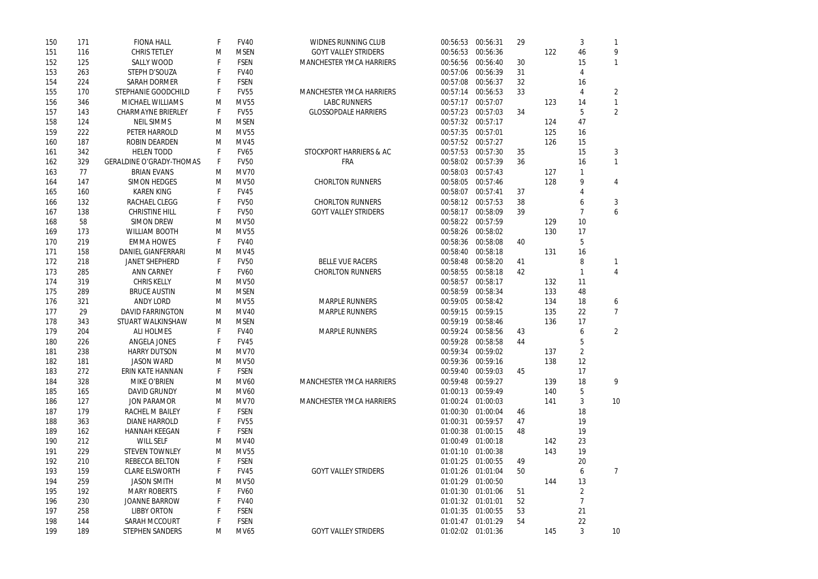| 150 | 171 | <b>FIONA HALL</b>               |   | <b>FV40</b> | <b>WIDNES RUNNING CLUB</b>      | 00:56:53 00:56:31 |                   | 29 |     | 3              |                |
|-----|-----|---------------------------------|---|-------------|---------------------------------|-------------------|-------------------|----|-----|----------------|----------------|
| 151 | 116 | <b>CHRIS TETLEY</b>             | M | <b>MSEN</b> | <b>GOYT VALLEY STRIDERS</b>     | 00:56:53          | 00:56:36          |    | 122 | 46             | 9              |
| 152 | 125 | <b>SALLY WOOD</b>               |   | <b>FSEN</b> | <b>MANCHESTER YMCA HARRIERS</b> | 00:56:56          | 00:56:40          | 30 |     | 15             |                |
| 153 | 263 | STEPH D'SOUZA                   |   | <b>FV40</b> |                                 |                   | 00:57:06 00:56:39 | 31 |     |                |                |
| 154 | 224 | <b>SARAH DORMER</b>             |   | <b>FSEN</b> |                                 | 00:57:08          | 00:56:37          | 32 |     | 16             |                |
| 155 | 170 | STEPHANIE GOODCHILD             | F | <b>FV55</b> | <b>MANCHESTER YMCA HARRIERS</b> | 00:57:14          | 00:56:53          | 33 |     |                | 2              |
| 156 | 346 | <b>MICHAEL WILLIAMS</b>         | M | <b>MV55</b> | <b>LABC RUNNERS</b>             | 00:57:17          | 00:57:07          |    | 123 | 14             |                |
| 157 | 143 | <b>CHARMAYNE BRIERLEY</b>       | F | <b>FV55</b> | <b>GLOSSOPDALE HARRIERS</b>     | 00:57:23          | 00:57:03          | 34 |     | 5              | $\overline{2}$ |
| 158 | 124 | <b>NEIL SIMMS</b>               | M | <b>MSEN</b> |                                 |                   | 00:57:32 00:57:17 |    | 124 | 47             |                |
| 159 | 222 | PETER HARROLD                   | М | <b>MV55</b> |                                 | 00:57:35 00:57:01 |                   |    | 125 | 16             |                |
| 160 | 187 | <b>ROBIN DEARDEN</b>            | M | <b>MV45</b> |                                 | 00:57:52          | 00:57:27          |    | 126 | 15             |                |
| 161 | 342 | <b>HELEN TODD</b>               | F | <b>FV65</b> | STOCKPORT HARRIERS & AC         | 00:57:53          | 00:57:30          | 35 |     | 15             | 3              |
| 162 | 329 | <b>GERALDINE O'GRADY-THOMAS</b> | F | <b>FV50</b> | <b>FRA</b>                      |                   | 00:58:02 00:57:39 | 36 |     | 16             |                |
| 163 | 77  | <b>BRIAN EVANS</b>              | M | <b>MV70</b> |                                 | 00:58:03          | 00:57:43          |    | 127 |                |                |
| 164 | 147 | <b>SIMON HEDGES</b>             | M | <b>MV50</b> | <b>CHORLTON RUNNERS</b>         | 00:58:05          | 00:57:46          |    | 128 | 9              | 4              |
| 165 | 160 | <b>KAREN KING</b>               |   | <b>FV45</b> |                                 | 00:58:07          | 00:57:41          | 37 |     |                |                |
| 166 | 132 | RACHAEL CLEGG                   |   | <b>FV50</b> | <b>CHORLTON RUNNERS</b>         | 00:58:12          | 00:57:53          | 38 |     |                | 3              |
| 167 | 138 | <b>CHRISTINE HILL</b>           |   | <b>FV50</b> | <b>GOYT VALLEY STRIDERS</b>     | 00:58:17          | 00:58:09          | 39 |     |                | 6              |
| 168 | 58  | <b>SIMON DREW</b>               | M | <b>MV50</b> |                                 | 00:58:22          | 00:57:59          |    | 129 | 10             |                |
| 169 | 173 | <b>WILLIAM BOOTH</b>            | M | <b>MV55</b> |                                 |                   | 00:58:26 00:58:02 |    | 130 | 17             |                |
| 170 | 219 | <b>EMMA HOWES</b>               |   | <b>FV40</b> |                                 | 00:58:36          | 00:58:08          | 40 |     | 5              |                |
| 171 | 158 | <b>DANIEL GIANFERRARI</b>       | M | <b>MV45</b> |                                 | 00:58:40          | 00:58:18          |    | 131 | 16             |                |
| 172 | 218 | <b>JANET SHEPHERD</b>           |   | <b>FV50</b> | <b>BELLE VUE RACERS</b>         | 00:58:48          | 00:58:20          | 41 |     | 8              |                |
| 173 | 285 | <b>ANN CARNEY</b>               |   | <b>FV60</b> | <b>CHORLTON RUNNERS</b>         | 00:58:55          | 00:58:18          | 42 |     |                |                |
| 174 | 319 | <b>CHRIS KELLY</b>              | М | <b>MV50</b> |                                 | 00:58:57          | 00:58:17          |    | 132 | 11             |                |
| 175 | 289 | <b>BRUCE AUSTIN</b>             | M | <b>MSEN</b> |                                 | 00:58:59          | 00:58:34          |    | 133 | 48             |                |
| 176 | 321 | <b>ANDY LORD</b>                | М | <b>MV55</b> | <b>MARPLE RUNNERS</b>           | 00:59:05          | 00:58:42          |    | 134 | 18             | 6              |
| 177 | 29  | <b>DAVID FARRINGTON</b>         | М | <b>MV40</b> | <b>MARPLE RUNNERS</b>           | 00:59:15          | 00:59:15          |    | 135 | 22             | 7              |
| 178 | 343 | STUART WALKINSHAW               | M | <b>MSEN</b> |                                 | 00:59:19          | 00:58:46          |    | 136 | 17             |                |
| 179 | 204 | <b>ALI HOLMES</b>               | F | <b>FV40</b> | <b>MARPLE RUNNERS</b>           | 00:59:24          | 00:58:56          | 43 |     | 6              | $\overline{2}$ |
| 180 | 226 | <b>ANGELA JONES</b>             |   | <b>FV45</b> |                                 | 00:59:28          | 00:58:58          | 44 |     |                |                |
| 181 | 238 | <b>HARRY DUTSON</b>             | M | <b>MV70</b> |                                 |                   | 00:59:34 00:59:02 |    | 137 | $\overline{a}$ |                |
| 182 | 181 | <b>JASON WARD</b>               | M | <b>MV50</b> |                                 | 00:59:36          | 00:59:16          |    | 138 | 12             |                |
| 183 | 272 | <b>ERIN KATE HANNAN</b>         | F | <b>FSEN</b> |                                 |                   | 00:59:40 00:59:03 | 45 |     | 17             |                |
| 184 | 328 | <b>MIKE O'BRIEN</b>             | М | <b>MV60</b> | <b>MANCHESTER YMCA HARRIERS</b> | 00:59:48          | 00:59:27          |    | 139 | 18             | 9              |
| 185 | 165 | <b>DAVID GRUNDY</b>             | M | <b>MV60</b> |                                 | 01:00:13          | 00:59:49          |    | 140 | 5              |                |
| 186 | 127 | <b>JON PARAMOR</b>              | M | <b>MV70</b> | <b>MANCHESTER YMCA HARRIERS</b> | 01:00:24          | 01:00:03          |    | 141 | 3              | 10             |
| 187 | 179 | <b>RACHEL M BAILEY</b>          |   | <b>FSEN</b> |                                 | 01:00:30          | 01:00:04          | 46 |     | 18             |                |
| 188 | 363 | <b>DIANE HARROLD</b>            |   | <b>FV55</b> |                                 | 01:00:31          | 00:59:57          | 47 |     | 19             |                |
| 189 | 162 | <b>HANNAH KEEGAN</b>            |   | <b>FSEN</b> |                                 | 01:00:38 01:00:15 |                   | 48 |     | 19             |                |
| 190 | 212 | <b>WILL SELF</b>                | M | <b>MV40</b> |                                 |                   | 01:00:49 01:00:18 |    | 142 | 23             |                |
| 191 | 229 | <b>STEVEN TOWNLEY</b>           | M | <b>MV55</b> |                                 |                   | 01:01:10 01:00:38 |    | 143 | 19             |                |
| 192 | 210 | <b>REBECCA BELTON</b>           | F | <b>FSEN</b> |                                 | 01:01:25          | 01:00:55          | 49 |     | 20             |                |
| 193 | 159 | <b>CLARE ELSWORTH</b>           | F | <b>FV45</b> | <b>GOYT VALLEY STRIDERS</b>     |                   | 01:01:26 01:01:04 | 50 |     | 6              | 7              |
| 194 | 259 | <b>JASON SMITH</b>              | M | <b>MV50</b> |                                 |                   | 01:01:29 01:00:50 |    | 144 | 13             |                |
| 195 | 192 | <b>MARY ROBERTS</b>             | F | <b>FV60</b> |                                 |                   | 01:01:30 01:01:06 | 51 |     | 2              |                |
| 196 | 230 | <b>JOANNE BARROW</b>            |   | <b>FV40</b> |                                 | 01:01:32 01:01:01 |                   | 52 |     | 7              |                |
| 197 | 258 | <b>LIBBY ORTON</b>              |   | <b>FSEN</b> |                                 | 01:01:35 01:00:55 |                   | 53 |     | 21             |                |
| 198 | 144 | <b>SARAH MCCOURT</b>            | F | <b>FSEN</b> |                                 | 01:01:47 01:01:29 |                   | 54 |     | 22             |                |
| 199 | 189 | <b>STEPHEN SANDERS</b>          | M | <b>MV65</b> | <b>GOYT VALLEY STRIDERS</b>     |                   | 01:02:02 01:01:36 |    | 145 | 3              | 10             |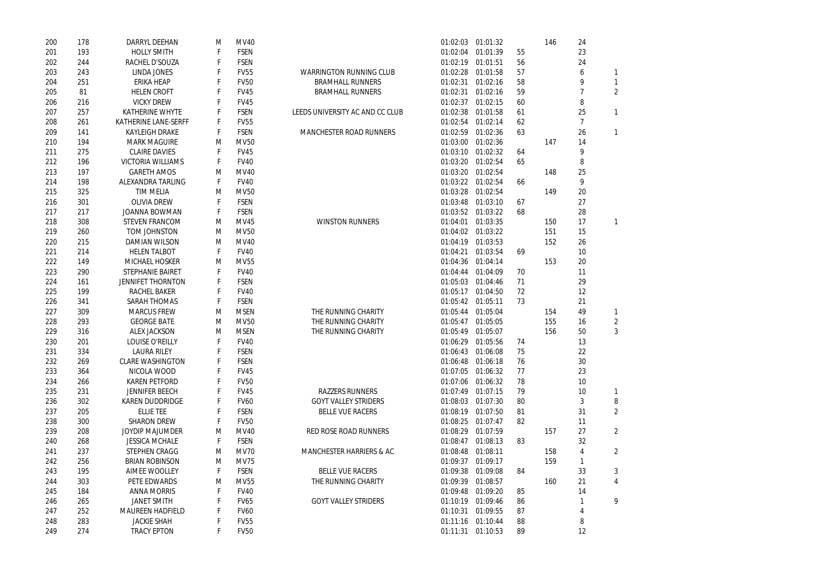| 200 | 178 | <b>DARRYL DEEHAN</b>        | M | <b>MV40</b> |                                     | 01:02:03 | 01:01:32          |    | 146 | 24 |                |
|-----|-----|-----------------------------|---|-------------|-------------------------------------|----------|-------------------|----|-----|----|----------------|
| 201 | 193 | <b>HOLLY SMITH</b>          |   | <b>FSEN</b> |                                     | 01:02:04 | 01:01:39          | 55 |     | 23 |                |
| 202 | 244 | RACHEL D'SOUZA              |   | <b>FSEN</b> |                                     | 01:02:19 | 01:01:51          | 56 |     | 24 |                |
| 203 | 243 | <b>LINDA JONES</b>          |   | <b>FV55</b> | <b>WARRINGTON RUNNING CLUB</b>      | 01:02:28 | 01:01:58          | 57 |     | 6  |                |
| 204 | 251 | <b>ERIKA HEAP</b>           |   | <b>FV50</b> | <b>BRAMHALL RUNNERS</b>             | 01:02:31 | 01:02:16          | 58 |     | 9  | 1              |
| 205 | 81  | <b>HELEN CROFT</b>          |   | <b>FV45</b> | <b>BRAMHALL RUNNERS</b>             | 01:02:31 | 01:02:16          | 59 |     |    | $\overline{2}$ |
| 206 | 216 | <b>VICKY DREW</b>           |   | <b>FV45</b> |                                     | 01:02:37 | 01:02:15          | 60 |     | 8  |                |
| 207 | 257 | <b>KATHERINE WHYTE</b>      |   | <b>FSEN</b> | LEEDS UNIVERSITY AC AND CC CLUB     | 01:02:38 | 01:01:58          | 61 |     | 25 | $\mathbf{1}$   |
| 208 | 261 | <b>KATHERINE LANE-SERFF</b> |   | <b>FV55</b> |                                     | 01:02:54 | 01:02:14          | 62 |     | 7  |                |
| 209 | 141 | <b>KAYLEIGH DRAKE</b>       |   | <b>FSEN</b> | <b>MANCHESTER ROAD RUNNERS</b>      | 01:02:59 | 01:02:36          | 63 |     | 26 | $\mathbf{1}$   |
| 210 | 194 | <b>MARK MAGUIRE</b>         | M | <b>MV50</b> |                                     | 01:03:00 | 01:02:36          |    | 147 | 14 |                |
| 211 | 275 | <b>CLAIRE DAVIES</b>        |   | <b>FV45</b> |                                     | 01:03:10 | 01:02:32          | 64 |     | 9  |                |
| 212 | 196 | <b>VICTORIA WILLIAMS</b>    |   | <b>FV40</b> |                                     | 01:03:20 | 01:02:54          | 65 |     | 8  |                |
| 213 | 197 | <b>GARETH AMOS</b>          | M | <b>MV40</b> |                                     | 01:03:20 | 01:02:54          |    | 148 | 25 |                |
| 214 | 198 | <b>ALEXANDRA TARLING</b>    |   | <b>FV40</b> |                                     | 01:03:22 | 01:02:54          | 66 |     | 9  |                |
| 215 | 325 | <b>TIM MELIA</b>            | M | <b>MV50</b> |                                     | 01:03:28 | 01:02:54          |    | 149 | 20 |                |
| 216 | 301 | <b>OLIVIA DREW</b>          |   | <b>FSEN</b> |                                     | 01:03:48 | 01:03:10          | 67 |     | 27 |                |
| 217 | 217 | <b>JOANNA BOWMAN</b>        |   | <b>FSEN</b> |                                     | 01:03:52 | 01:03:22          | 68 |     | 28 |                |
| 218 | 308 | <b>STEVEN FRANCOM</b>       | M | <b>MV45</b> | <b>WINSTON RUNNERS</b>              | 01:04:01 | 01:03:35          |    | 150 | 17 | $\mathbf{1}$   |
| 219 | 260 | <b>TOM JOHNSTON</b>         | M | <b>MV50</b> |                                     | 01:04:02 | 01:03:22          |    | 151 | 15 |                |
| 220 | 215 | <b>DAMIAN WILSON</b>        | M | <b>MV40</b> |                                     | 01:04:19 | 01:03:53          |    | 152 | 26 |                |
| 221 | 214 | <b>HELEN TALBOT</b>         |   | <b>FV40</b> |                                     | 01:04:21 | 01:03:54          | 69 |     | 10 |                |
| 222 | 149 | <b>MICHAEL HOSKER</b>       | M | <b>MV55</b> |                                     | 01:04:36 | 01:04:14          |    | 153 | 20 |                |
| 223 | 290 | <b>STEPHANIE BAIRET</b>     |   | <b>FV40</b> |                                     | 01:04:44 | 01:04:09          | 70 |     | 11 |                |
| 224 | 161 | <b>JENNIFET THORNTON</b>    |   | <b>FSEN</b> |                                     | 01:05:03 | 01:04:46          | 71 |     | 29 |                |
|     | 199 | <b>RACHEL BAKER</b>         |   | <b>FV40</b> |                                     | 01:05:17 | 01:04:50          | 72 |     | 12 |                |
| 225 |     |                             |   |             |                                     |          |                   |    |     |    |                |
| 226 | 341 | <b>SARAH THOMAS</b>         |   | <b>FSEN</b> |                                     | 01:05:42 | 01:05:11          | 73 |     | 21 |                |
| 227 | 309 | <b>MARCUS FREW</b>          | M | <b>MSEN</b> | THE RUNNING CHARITY                 | 01:05:44 | 01:05:04          |    | 154 | 49 |                |
| 228 | 293 | <b>GEORGE BATE</b>          | M | <b>MV50</b> | THE RUNNING CHARITY                 | 01:05:47 | 01:05:05          |    | 155 | 16 | $\overline{2}$ |
| 229 | 316 | <b>ALEX JACKSON</b>         | M | <b>MSEN</b> | THE RUNNING CHARITY                 | 01:05:49 | 01:05:07          |    | 156 | 50 | 3              |
| 230 | 201 | <b>LOUISE O'REILLY</b>      | F | <b>FV40</b> |                                     | 01:06:29 | 01:05:56          | 74 |     | 13 |                |
| 231 | 334 | <b>LAURA RILEY</b>          |   | <b>FSEN</b> |                                     | 01:06:43 | 01:06:08          | 75 |     | 22 |                |
| 232 | 269 | <b>CLARE WASHINGTON</b>     |   | <b>FSEN</b> |                                     | 01:06:48 | 01:06:18          | 76 |     | 30 |                |
| 233 | 364 | NICOLA WOOD                 |   | <b>FV45</b> |                                     | 01:07:05 | 01:06:32          | 77 |     | 23 |                |
| 234 | 266 | <b>KAREN PETFORD</b>        |   | <b>FV50</b> |                                     | 01:07:06 | 01:06:32          | 78 |     | 10 |                |
| 235 | 231 | <b>JENNIFER BEECH</b>       |   | <b>FV45</b> | <b>RAZZERS RUNNERS</b>              | 01:07:49 | 01:07:15          | 79 |     | 10 | 1              |
| 236 | 302 | <b>KAREN DUDDRIDGE</b>      |   | <b>FV60</b> | <b>GOYT VALLEY STRIDERS</b>         | 01:08:03 | 01:07:30          | 80 |     | 3  | 8              |
| 237 | 205 | <b>ELLIE TEE</b>            |   | <b>FSEN</b> | <b>BELLE VUE RACERS</b>             | 01:08:19 | 01:07:50          | 81 |     | 31 | $\overline{2}$ |
| 238 | 300 | <b>SHARON DREW</b>          |   | <b>FV50</b> |                                     | 01:08:25 | 01:07:47          | 82 |     | 11 |                |
| 239 | 208 | <b>JOYDIP MAJUMDER</b>      | M | <b>MV40</b> | <b>RED ROSE ROAD RUNNERS</b>        | 01:08:29 | 01:07:59          |    | 157 | 27 | $\overline{2}$ |
| 240 | 268 | <b>JESSICA MCHALE</b>       |   | <b>FSEN</b> |                                     | 01:08:47 | 01:08:13          | 83 |     | 32 |                |
| 241 | 237 | <b>STEPHEN CRAGG</b>        | M | <b>MV70</b> | <b>MANCHESTER HARRIERS &amp; AC</b> | 01:08:48 | 01:08:11          |    | 158 | 4  | $\overline{2}$ |
| 242 | 256 | <b>BRIAN ROBINSON</b>       | M | <b>MV75</b> |                                     | 01:09:37 | 01:09:17          |    | 159 | 1  |                |
| 243 | 195 | <b>AIMEE WOOLLEY</b>        |   | <b>FSEN</b> | <b>BELLE VUE RACERS</b>             | 01:09:38 | 01:09:08          | 84 |     | 33 | 3              |
| 244 | 303 | PETE EDWARDS                | M | <b>MV55</b> | THE RUNNING CHARITY                 | 01:09:39 | 01:08:57          |    | 160 | 21 | 4              |
| 245 | 184 | <b>ANNA MORRIS</b>          |   | <b>FV40</b> |                                     | 01:09:48 | 01:09:20          | 85 |     | 14 |                |
| 246 | 265 | <b>JANET SMITH</b>          |   | <b>FV65</b> | <b>GOYT VALLEY STRIDERS</b>         | 01:10:19 | 01:09:46          | 86 |     |    | 9              |
| 247 | 252 | <b>MAUREEN HADFIELD</b>     |   | <b>FV60</b> |                                     | 01:10:31 | 01:09:55          | 87 |     | 4  |                |
| 248 | 283 | <b>JACKIE SHAH</b>          |   | <b>FV55</b> |                                     | 01:11:16 | 01:10:44          | 88 |     | 8  |                |
| 249 | 274 | <b>TRACY EPTON</b>          |   | <b>FV50</b> |                                     |          | 01:11:31 01:10:53 | 89 |     | 12 |                |

2 2 9